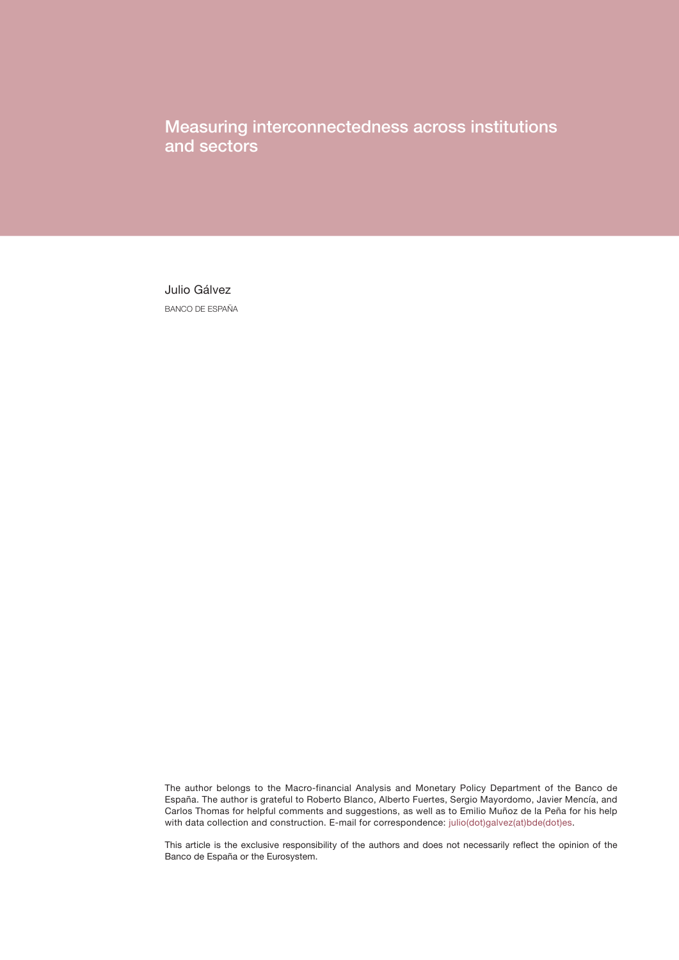Measuring interconnectedness across institutions and sectors

Julio Gálvez BANCO DE ESPAÑA

The author belongs to the Macro-financial Analysis and Monetary Policy Department of the Banco de España. The author is grateful to Roberto Blanco, Alberto Fuertes, Sergio Mayordomo, Javier Mencía, and Carlos Thomas for helpful comments and suggestions, as well as to Emilio Muñoz de la Peña for his help with data collection and construction. E-mail for correspondence: [julio\(dot\)galvez\(at\)bde\(dot\)es.](mailto:julio.galvez@bde.es)

This article is the exclusive responsibility of the authors and does not necessarily reflect the opinion of the Banco de España or the Eurosystem.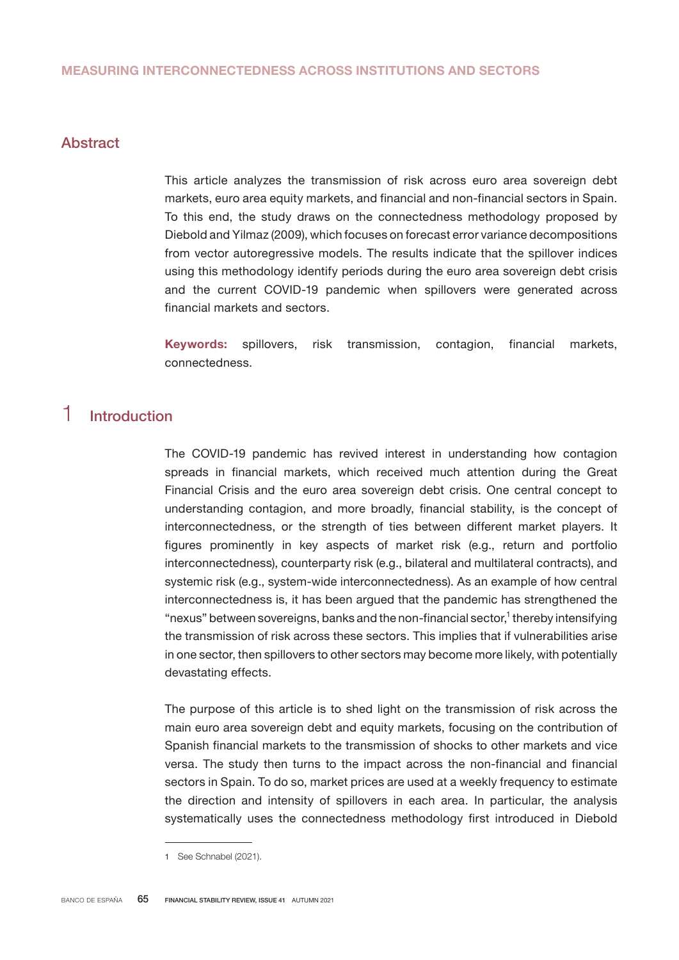# Abstract

This article analyzes the transmission of risk across euro area sovereign debt markets, euro area equity markets, and financial and non-financial sectors in Spain. To this end, the study draws on the connectedness methodology proposed by Diebold and Yilmaz (2009), which focuses on forecast error variance decompositions from vector autoregressive models. The results indicate that the spillover indices using this methodology identify periods during the euro area sovereign debt crisis and the current COVID-19 pandemic when spillovers were generated across financial markets and sectors.

Keywords: spillovers, risk transmission, contagion, financial markets, connectedness.

# 1 Introduction

The COVID-19 pandemic has revived interest in understanding how contagion spreads in financial markets, which received much attention during the Great Financial Crisis and the euro area sovereign debt crisis. One central concept to understanding contagion, and more broadly, financial stability, is the concept of interconnectedness, or the strength of ties between different market players. It figures prominently in key aspects of market risk (e.g., return and portfolio interconnectedness), counterparty risk (e.g., bilateral and multilateral contracts), and systemic risk (e.g., system-wide interconnectedness). As an example of how central interconnectedness is, it has been argued that the pandemic has strengthened the "nexus" between sovereigns, banks and the non-financial sector,<sup>1</sup> thereby intensifying the transmission of risk across these sectors. This implies that if vulnerabilities arise in one sector, then spillovers to other sectors may become more likely, with potentially devastating effects.

The purpose of this article is to shed light on the transmission of risk across the main euro area sovereign debt and equity markets, focusing on the contribution of Spanish financial markets to the transmission of shocks to other markets and vice versa. The study then turns to the impact across the non-financial and financial sectors in Spain. To do so, market prices are used at a weekly frequency to estimate the direction and intensity of spillovers in each area. In particular, the analysis systematically uses the connectedness methodology first introduced in Diebold

<sup>1</sup> See Schnabel (2021).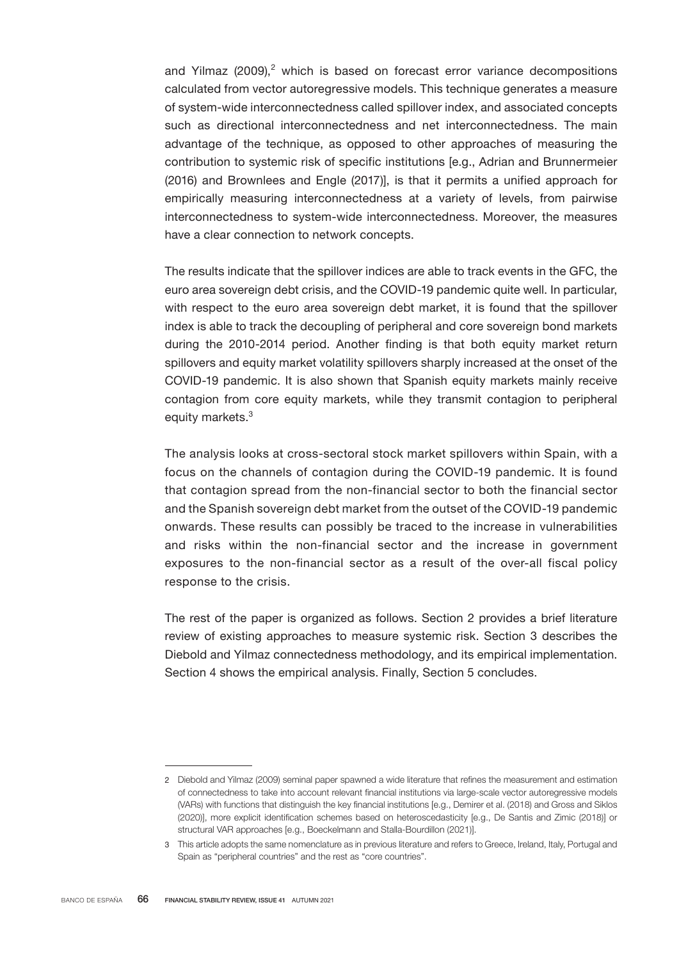and Yilmaz (2009),<sup>2</sup> which is based on forecast error variance decompositions calculated from vector autoregressive models. This technique generates a measure of system-wide interconnectedness called spillover index, and associated concepts such as directional interconnectedness and net interconnectedness. The main advantage of the technique, as opposed to other approaches of measuring the contribution to systemic risk of specific institutions [e.g., Adrian and Brunnermeier (2016) and Brownlees and Engle (2017)], is that it permits a unified approach for empirically measuring interconnectedness at a variety of levels, from pairwise interconnectedness to system-wide interconnectedness. Moreover, the measures have a clear connection to network concepts.

The results indicate that the spillover indices are able to track events in the GFC, the euro area sovereign debt crisis, and the COVID-19 pandemic quite well. In particular, with respect to the euro area sovereign debt market, it is found that the spillover index is able to track the decoupling of peripheral and core sovereign bond markets during the 2010-2014 period. Another finding is that both equity market return spillovers and equity market volatility spillovers sharply increased at the onset of the COVID-19 pandemic. It is also shown that Spanish equity markets mainly receive contagion from core equity markets, while they transmit contagion to peripheral equity markets.<sup>3</sup>

The analysis looks at cross-sectoral stock market spillovers within Spain, with a focus on the channels of contagion during the COVID-19 pandemic. It is found that contagion spread from the non-financial sector to both the financial sector and the Spanish sovereign debt market from the outset of the COVID-19 pandemic onwards. These results can possibly be traced to the increase in vulnerabilities and risks within the non-financial sector and the increase in government exposures to the non-financial sector as a result of the over-all fiscal policy response to the crisis.

The rest of the paper is organized as follows. Section 2 provides a brief literature review of existing approaches to measure systemic risk. Section 3 describes the Diebold and Yilmaz connectedness methodology, and its empirical implementation. Section 4 shows the empirical analysis. Finally, Section 5 concludes.

<sup>2</sup> Diebold and Yilmaz (2009) seminal paper spawned a wide literature that refines the measurement and estimation of connectedness to take into account relevant financial institutions via large-scale vector autoregressive models (VARs) with functions that distinguish the key financial institutions [e.g., Demirer et al. (2018) and Gross and Siklos (2020)], more explicit identification schemes based on heteroscedasticity [e.g., De Santis and Zimic (2018)] or structural VAR approaches [e.g., Boeckelmann and Stalla-Bourdillon (2021)].

<sup>3</sup> This article adopts the same nomenclature as in previous literature and refers to Greece, Ireland, Italy, Portugal and Spain as "peripheral countries" and the rest as "core countries".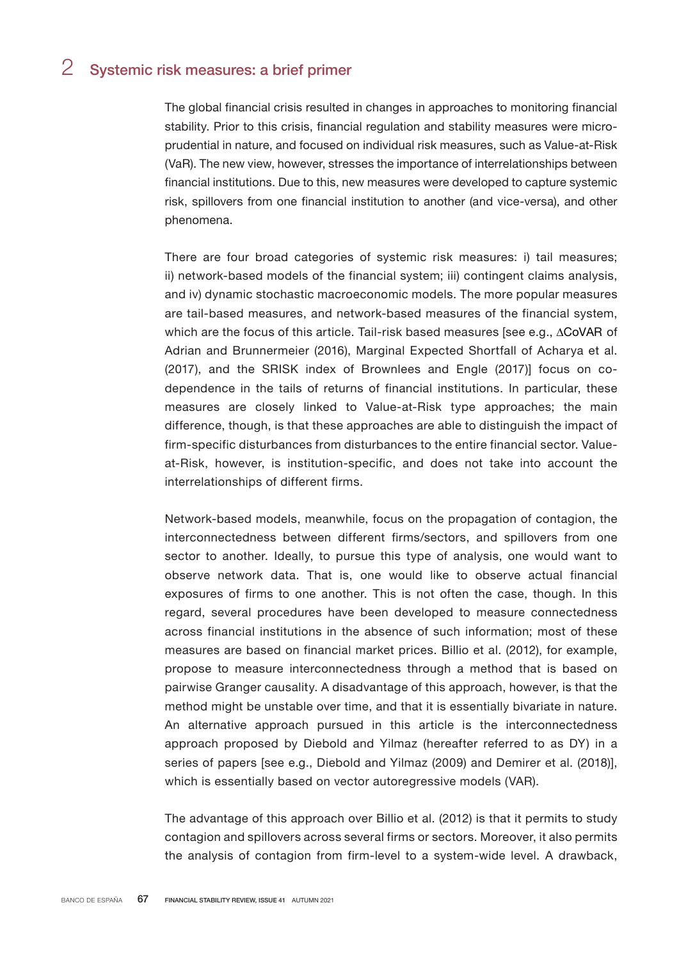# 2 Systemic risk measures: a brief primer

The global financial crisis resulted in changes in approaches to monitoring financial stability. Prior to this crisis, financial regulation and stability measures were microprudential in nature, and focused on individual risk measures, such as Value-at-Risk (VaR). The new view, however, stresses the importance of interrelationships between financial institutions. Due to this, new measures were developed to capture systemic risk, spillovers from one financial institution to another (and vice-versa), and other phenomena.

There are four broad categories of systemic risk measures: i) tail measures; ii) network-based models of the financial system; iii) contingent claims analysis, and iv) dynamic stochastic macroeconomic models. The more popular measures are tail-based measures, and network-based measures of the financial system, which are the focus of this article. Tail-risk based measures [see e.g., ∆CoVAR of Adrian and Brunnermeier (2016), Marginal Expected Shortfall of Acharya et al. (2017), and the SRISK index of Brownlees and Engle (2017)] focus on codependence in the tails of returns of financial institutions. In particular, these measures are closely linked to Value-at-Risk type approaches; the main difference, though, is that these approaches are able to distinguish the impact of firm-specific disturbances from disturbances to the entire financial sector. Valueat-Risk, however, is institution-specific, and does not take into account the interrelationships of different firms.

Network-based models, meanwhile, focus on the propagation of contagion, the interconnectedness between different firms/sectors, and spillovers from one sector to another. Ideally, to pursue this type of analysis, one would want to observe network data. That is, one would like to observe actual financial exposures of firms to one another. This is not often the case, though. In this regard, several procedures have been developed to measure connectedness across financial institutions in the absence of such information; most of these measures are based on financial market prices. Billio et al. (2012), for example, propose to measure interconnectedness through a method that is based on pairwise Granger causality. A disadvantage of this approach, however, is that the method might be unstable over time, and that it is essentially bivariate in nature. An alternative approach pursued in this article is the interconnectedness approach proposed by Diebold and Yilmaz (hereafter referred to as DY) in a series of papers [see e.g., Diebold and Yilmaz (2009) and Demirer et al. (2018)], which is essentially based on vector autoregressive models (VAR).

The advantage of this approach over Billio et al. (2012) is that it permits to study contagion and spillovers across several firms or sectors. Moreover, it also permits the analysis of contagion from firm-level to a system-wide level. A drawback,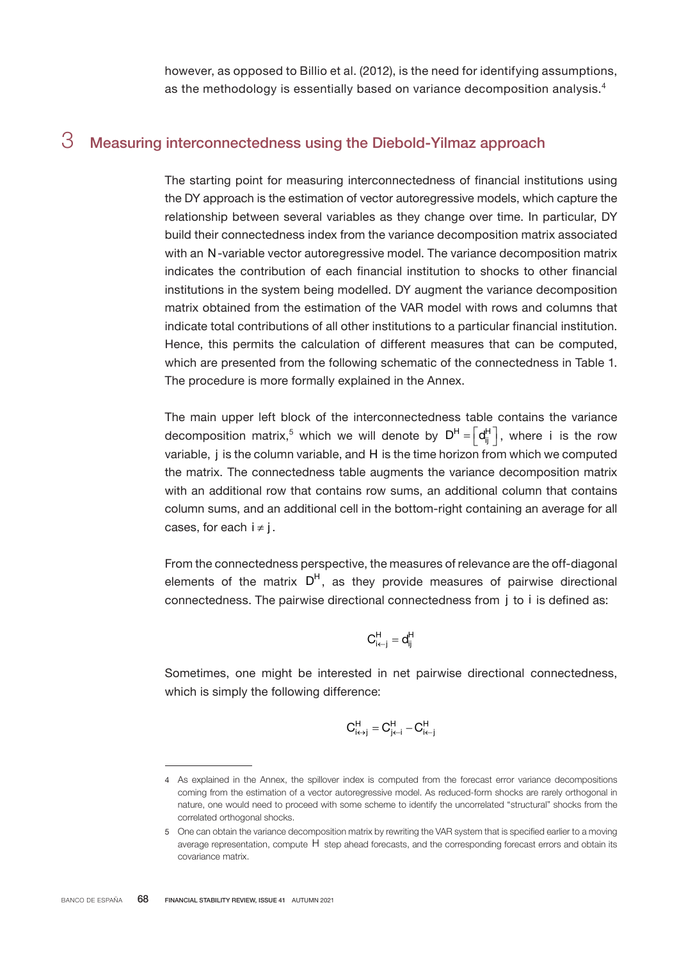however, as opposed to Billio et al. (2012), is the need for identifying assumptions, as the methodology is essentially based on variance decomposition analysis.<sup>4</sup>

# 3 Measuring interconnectedness using the Diebold-Yilmaz approach

The starting point for measuring interconnectedness of financial institutions using the DY approach is the estimation of vector autoregressive models, which capture the relationship between several variables as they change over time. In particular, DY build their connectedness index from the variance decomposition matrix associated with an N-variable vector autoregressive model. The variance decomposition matrix indicates the contribution of each financial institution to shocks to other financial institutions in the system being modelled. DY augment the variance decomposition matrix obtained from the estimation of the VAR model with rows and columns that indicate total contributions of all other institutions to a particular financial institution. Hence, this permits the calculation of different measures that can be computed, which are presented from the following schematic of the connectedness in Table 1. The procedure is more formally explained in the Annex.

The main upper left block of the interconnectedness table contains the variance decomposition matrix,<sup>5</sup> which we will denote by  $D^{H} = \left[d_{ij}^{H}\right]$ , where i is the row variable, j is the column variable, and H is the time horizon from which we computed the matrix. The connectedness table augments the variance decomposition matrix with an additional row that contains row sums, an additional column that contains column sums, and an additional cell in the bottom-right containing an average for all cases, for each  $i \neq j$ .

From the connectedness perspective, the measures of relevance are the off-diagonal elements of the matrix  $D<sup>H</sup>$ , as they provide measures of pairwise directional connectedness. The pairwise directional connectedness from j to i is defined as:

$$
C_{i \leftarrow j}^H = d_{ij}^H
$$

Sometimes, one might be interested in net pairwise directional connectedness, which is simply the following difference:

$$
C_{i \leftrightarrow j}^H = C_{j \leftarrow i}^H - C_{i \leftarrow j}^H
$$

<sup>4</sup> As explained in the Annex, the spillover index is computed from the forecast error variance decompositions coming from the estimation of a vector autoregressive model. As reduced-form shocks are rarely orthogonal in nature, one would need to proceed with some scheme to identify the uncorrelated "structural" shocks from the correlated orthogonal shocks.

<sup>5</sup> One can obtain the variance decomposition matrix by rewriting the VAR system that is specified earlier to a moving average representation, compute H step ahead forecasts, and the corresponding forecast errors and obtain its covariance matrix.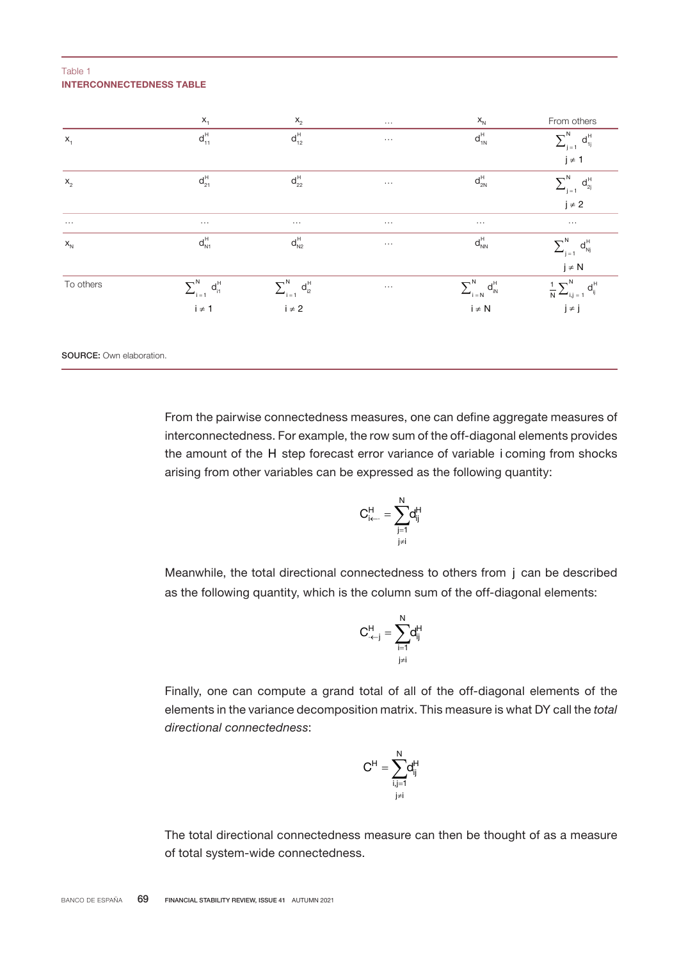#### INTERCONNECTEDNESS TABLE Table 1

|           | $X_1$                                | $\mathsf{X}_2$                                                                         | $\dots$  | $\mathsf{x}_{\scriptscriptstyle \mathsf{N}}$                                    | From others                                                                         |
|-----------|--------------------------------------|----------------------------------------------------------------------------------------|----------|---------------------------------------------------------------------------------|-------------------------------------------------------------------------------------|
| $X_1$     | $d_{11}^{\rm H}$                     | $d_{12}^{\rm H}$                                                                       | $\cdots$ | $d_{1N}^{\, \text{H}}$                                                          | $\sum\nolimits_{j\,=\,1}^{N}$<br>$d_{1j}^H$                                         |
|           |                                      |                                                                                        |          |                                                                                 | $j \neq 1$                                                                          |
| $X_2$     | $d_{21}^H$                           | $\mathsf{d}_{\mathsf{22}}^\mathsf{H}$                                                  | $\cdots$ | $d_{_{2N}}^{\textrm{H}}$                                                        | $\sum\nolimits_{j\,=\,1}^{N}$<br>$d_{2j}^{\textrm{H}}$                              |
|           |                                      |                                                                                        |          |                                                                                 | $j \neq 2$                                                                          |
| $\ldots$  | $\ldots$                             | $\ldots$                                                                               | $\ldots$ | $\ldots$                                                                        | $\dots$                                                                             |
| $X_{N}$   | $d_{\textrm{N1}}^{\textrm{H}}$       | $d_{\textrm{N2}}^{\textrm{H}}$                                                         | $\ldots$ | $\mathsf{d}_{\scriptscriptstyle{\mathsf{NN}}}^{\scriptscriptstyle{\mathsf{H}}}$ | $\sum_{j=1}^{N}$<br>$d_{\textrm{Nj}}^{\textrm{H}}$                                  |
|           |                                      |                                                                                        |          |                                                                                 | $j \neq N$                                                                          |
| To others | $\sum\nolimits_{i=1}^{N}~d_{i1}^{H}$ | $\begin{aligned} \sum\nolimits_{i\,=\,1}^{N}\,\,d_{i2}^{H}\, \\ i\neq 2 \end{aligned}$ | $\ldots$ | $\sum\nolimits_{i=N}^{N}\,d_{iN}^{H}$                                           | $\frac{1}{N}\sum\nolimits_{i,j\,=\,1}^{N}$ $\mathbf{j}\neq\mathbf{j}$<br>$d_{ij}^H$ |
|           | $i \neq 1$                           |                                                                                        |          | $i \neq N$                                                                      |                                                                                     |
|           |                                      |                                                                                        |          |                                                                                 |                                                                                     |
|           |                                      |                                                                                        |          |                                                                                 |                                                                                     |

SOURCE: Own elaboration.

From the pairwise connectedness measures, one can define aggregate measures of interconnectedness. For example, the row sum of the off-diagonal elements provides the amount of the H step forecast error variance of variable i coming from shocks arising from other variables can be expressed as the following quantity:

$$
C_{i \leftarrow \cdot}^{H} = \sum_{\substack{j=1 \\ j \neq i}}^{N} d_{ij}^{H}
$$

Meanwhile, the total directional connectedness to others from j can be described as the following quantity, which is the column sum of the off-diagonal elements:

$$
C_{\leftarrow j}^H = \sum_{i=1}^N d_{ij}^H
$$

Finally, one can compute a grand total of all of the off-diagonal elements of the elements in the variance decomposition matrix. This measure is what DY call the *total directional connectedness*:

$$
C^H = \sum_{\substack{i,j=1\\j\neq i}}^N \! d_{ij}^H
$$

The total directional connectedness measure can then be thought of as a measure of total system-wide connectedness.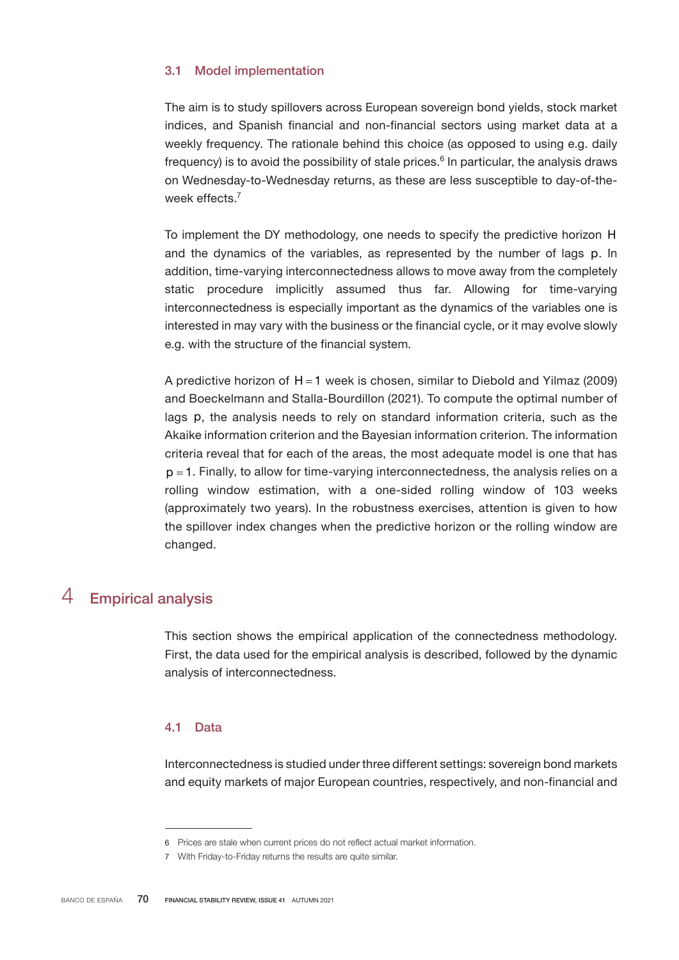# 3.1 Model implementation

The aim is to study spillovers across European sovereign bond yields, stock market indices, and Spanish financial and non-financial sectors using market data at a weekly frequency. The rationale behind this choice (as opposed to using e.g. daily frequency) is to avoid the possibility of stale prices.<sup>6</sup> In particular, the analysis draws on Wednesday-to-Wednesday returns, as these are less susceptible to day-of-theweek effects.<sup>7</sup>

To implement the DY methodology, one needs to specify the predictive horizon H and the dynamics of the variables, as represented by the number of lags p. In addition, time-varying interconnectedness allows to move away from the completely static procedure implicitly assumed thus far. Allowing for time-varying interconnectedness is especially important as the dynamics of the variables one is interested in may vary with the business or the financial cycle, or it may evolve slowly e.g. with the structure of the financial system.

A predictive horizon of  $H = 1$  week is chosen, similar to Diebold and Yilmaz (2009) and Boeckelmann and Stalla-Bourdillon (2021). To compute the optimal number of lags p, the analysis needs to rely on standard information criteria, such as the Akaike information criterion and the Bayesian information criterion. The information criteria reveal that for each of the areas, the most adequate model is one that has  $p = 1$ . Finally, to allow for time-varying interconnectedness, the analysis relies on a rolling window estimation, with a one-sided rolling window of 103 weeks (approximately two years). In the robustness exercises, attention is given to how the spillover index changes when the predictive horizon or the rolling window are changed.

# 4 Empirical analysis

This section shows the empirical application of the connectedness methodology. First, the data used for the empirical analysis is described, followed by the dynamic analysis of interconnectedness.

# 4.1 Data

Interconnectedness is studied under three different settings: sovereign bond markets and equity markets of major European countries, respectively, and non-financial and

<sup>6</sup> Prices are stale when current prices do not reflect actual market information.

<sup>7</sup> With Friday-to-Friday returns the results are quite similar.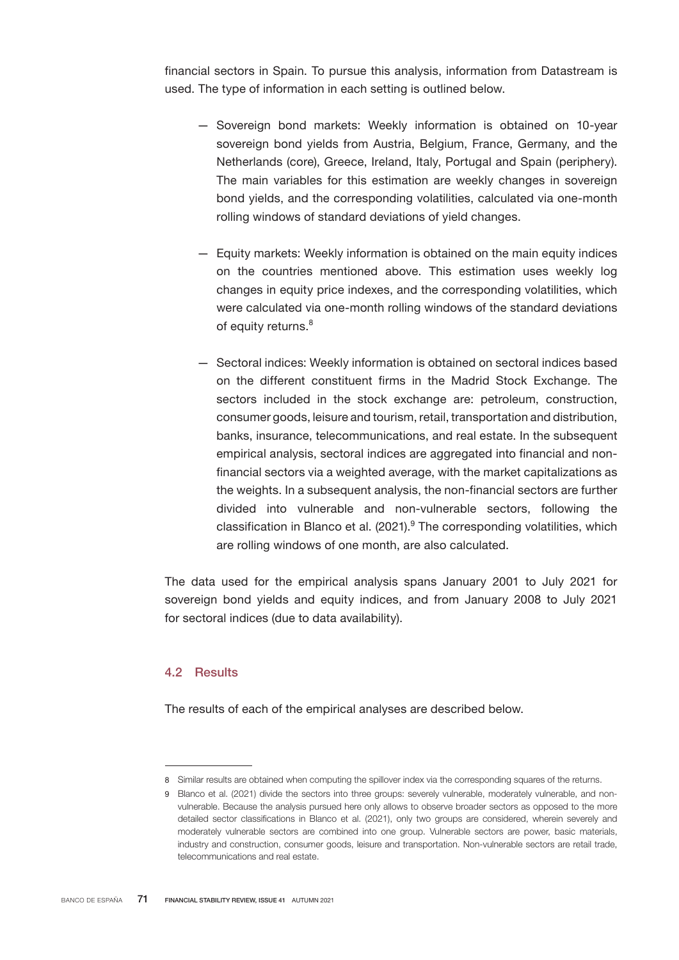financial sectors in Spain. To pursue this analysis, information from Datastream is used. The type of information in each setting is outlined below.

- Sovereign bond markets: Weekly information is obtained on 10-year sovereign bond yields from Austria, Belgium, France, Germany, and the Netherlands (core), Greece, Ireland, Italy, Portugal and Spain (periphery). The main variables for this estimation are weekly changes in sovereign bond yields, and the corresponding volatilities, calculated via one-month rolling windows of standard deviations of yield changes.
- Equity markets: Weekly information is obtained on the main equity indices on the countries mentioned above. This estimation uses weekly log changes in equity price indexes, and the corresponding volatilities, which were calculated via one-month rolling windows of the standard deviations of equity returns.<sup>8</sup>
- Sectoral indices: Weekly information is obtained on sectoral indices based on the different constituent firms in the Madrid Stock Exchange. The sectors included in the stock exchange are: petroleum, construction, consumer goods, leisure and tourism, retail, transportation and distribution, banks, insurance, telecommunications, and real estate. In the subsequent empirical analysis, sectoral indices are aggregated into financial and nonfinancial sectors via a weighted average, with the market capitalizations as the weights. In a subsequent analysis, the non-financial sectors are further divided into vulnerable and non-vulnerable sectors, following the classification in Blanco et al. (2021).<sup>9</sup> The corresponding volatilities, which are rolling windows of one month, are also calculated.

The data used for the empirical analysis spans January 2001 to July 2021 for sovereign bond yields and equity indices, and from January 2008 to July 2021 for sectoral indices (due to data availability).

# 4.2 Results

The results of each of the empirical analyses are described below.

<sup>8</sup> Similar results are obtained when computing the spillover index via the corresponding squares of the returns.

<sup>9</sup> Blanco et al. (2021) divide the sectors into three groups: severely vulnerable, moderately vulnerable, and nonvulnerable. Because the analysis pursued here only allows to observe broader sectors as opposed to the more detailed sector classifications in Blanco et al. (2021), only two groups are considered, wherein severely and moderately vulnerable sectors are combined into one group. Vulnerable sectors are power, basic materials, industry and construction, consumer goods, leisure and transportation. Non-vulnerable sectors are retail trade, telecommunications and real estate.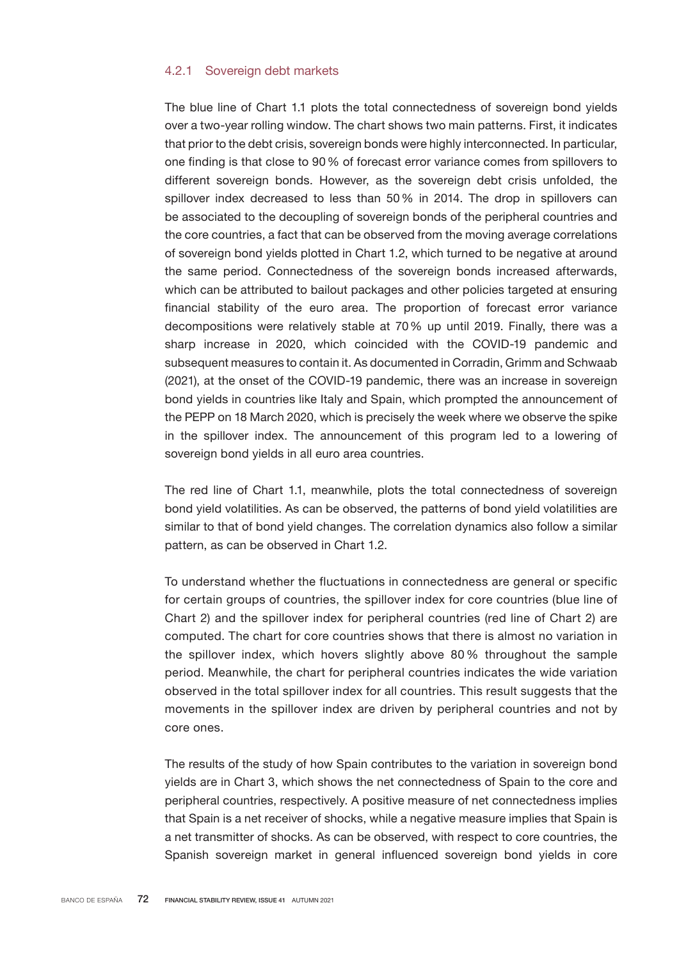## 4.2.1 Sovereign debt markets

The blue line of Chart 1.1 plots the total connectedness of sovereign bond yields over a two-year rolling window. The chart shows two main patterns. First, it indicates that prior to the debt crisis, sovereign bonds were highly interconnected. In particular, one finding is that close to 90% of forecast error variance comes from spillovers to different sovereign bonds. However, as the sovereign debt crisis unfolded, the spillover index decreased to less than 50% in 2014. The drop in spillovers can be associated to the decoupling of sovereign bonds of the peripheral countries and the core countries, a fact that can be observed from the moving average correlations of sovereign bond yields plotted in Chart 1.2, which turned to be negative at around the same period. Connectedness of the sovereign bonds increased afterwards, which can be attributed to bailout packages and other policies targeted at ensuring financial stability of the euro area. The proportion of forecast error variance decompositions were relatively stable at 70% up until 2019. Finally, there was a sharp increase in 2020, which coincided with the COVID-19 pandemic and subsequent measures to contain it. As documented in Corradin, Grimm and Schwaab (2021), at the onset of the COVID-19 pandemic, there was an increase in sovereign bond yields in countries like Italy and Spain, which prompted the announcement of the PEPP on 18 March 2020, which is precisely the week where we observe the spike in the spillover index. The announcement of this program led to a lowering of sovereign bond yields in all euro area countries.

The red line of Chart 1.1, meanwhile, plots the total connectedness of sovereign bond yield volatilities. As can be observed, the patterns of bond yield volatilities are similar to that of bond yield changes. The correlation dynamics also follow a similar pattern, as can be observed in Chart 1.2.

To understand whether the fluctuations in connectedness are general or specific for certain groups of countries, the spillover index for core countries (blue line of Chart 2) and the spillover index for peripheral countries (red line of Chart 2) are computed. The chart for core countries shows that there is almost no variation in the spillover index, which hovers slightly above 80% throughout the sample period. Meanwhile, the chart for peripheral countries indicates the wide variation observed in the total spillover index for all countries. This result suggests that the movements in the spillover index are driven by peripheral countries and not by core ones.

The results of the study of how Spain contributes to the variation in sovereign bond yields are in Chart 3, which shows the net connectedness of Spain to the core and peripheral countries, respectively. A positive measure of net connectedness implies that Spain is a net receiver of shocks, while a negative measure implies that Spain is a net transmitter of shocks. As can be observed, with respect to core countries, the Spanish sovereign market in general influenced sovereign bond yields in core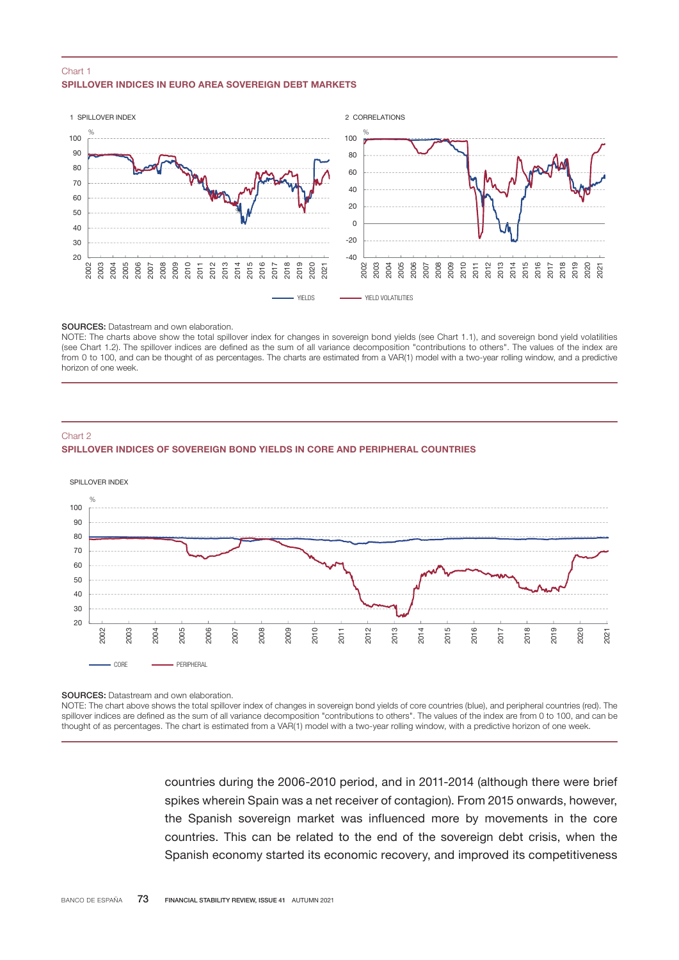#### SPILLOVER INDICES IN FURO AREA SOVERFIGN DEBT MARKETS Chart 1



#### SOURCES: Datastream and own elaboration.

NOTE: The charts above show the total spillover index for changes in sovereign bond yields (see Chart 1.1), and sovereign bond yield volatilities (see Chart 1.2). The spillover indices are defined as the sum of all variance decomposition "contributions to others". The values of the index are from 0 to 100, and can be thought of as percentages. The charts are estimated from a VAR(1) model with a two-year rolling window, and a predictive horizon of one week.

#### Chart 2

#### SPILLOVER INDICES OF SOVEREIGN BOND YIELDS IN CORE AND PERIPHERAL COUNTRIES



SOURCES: Datastream and own elaboration.

NOTE: The chart above shows the total spillover index of changes in sovereign bond yields of core countries (blue), and peripheral countries (red). The spillover indices are defined as the sum of all variance decomposition "contributions to others". The values of the index are from 0 to 100, and can be thought of as percentages. The chart is estimated from a VAR(1) model with a two-year rolling window, with a predictive horizon of one week.

> countries during the 2006-2010 period, and in 2011-2014 (although there were brief spikes wherein Spain was a net receiver of contagion). From 2015 onwards, however, the Spanish sovereign market was influenced more by movements in the core countries. This can be related to the end of the sovereign debt crisis, when the Spanish economy started its economic recovery, and improved its competitiveness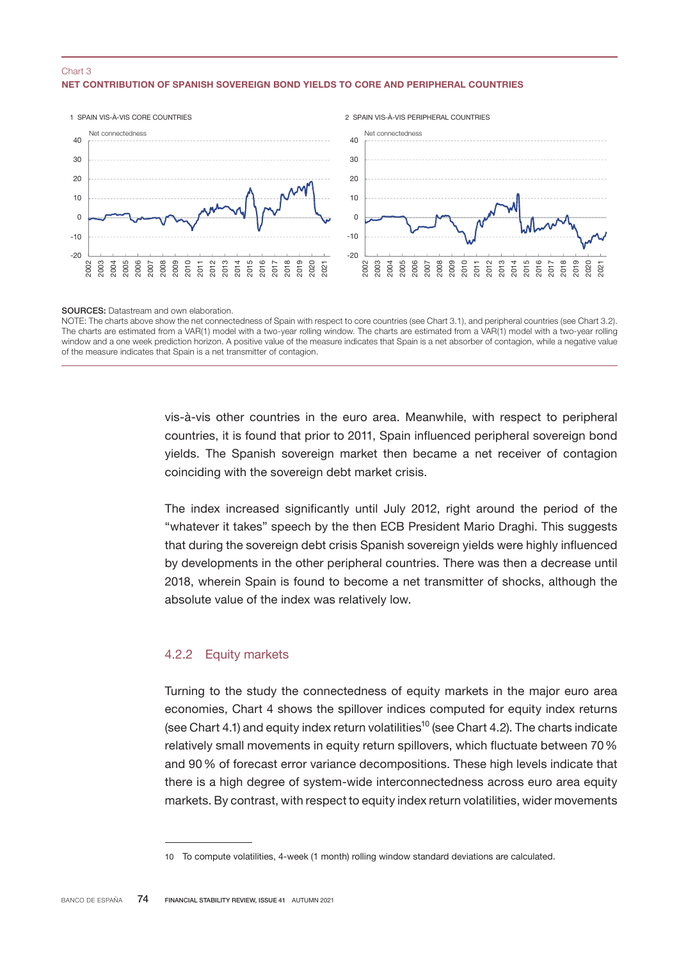## NET CONTRIBUTION OF SPANISH SOVEREIGN BOND YIELDS TO CORE AND PERIPHERAL COUNTRIES Chart 3



SOURCES: Datastream and own elaboration.

NOTE: The charts above show the net connectedness of Spain with respect to core countries (see Chart 3.1), and peripheral countries (see Chart 3.2). The charts are estimated from a VAR(1) model with a two-year rolling window. The charts are estimated from a VAR(1) model with a two-year rolling window and a one week prediction horizon. A positive value of the measure indicates that Spain is a net absorber of contagion, while a negative value of the measure indicates that Spain is a net transmitter of contagion.

> vis-à-vis other countries in the euro area. Meanwhile, with respect to peripheral countries, it is found that prior to 2011, Spain influenced peripheral sovereign bond yields. The Spanish sovereign market then became a net receiver of contagion coinciding with the sovereign debt market crisis.

> The index increased significantly until July 2012, right around the period of the "whatever it takes" speech by the then ECB President Mario Draghi. This suggests that during the sovereign debt crisis Spanish sovereign yields were highly influenced by developments in the other peripheral countries. There was then a decrease until 2018, wherein Spain is found to become a net transmitter of shocks, although the absolute value of the index was relatively low.

# 4.2.2 Equity markets

Turning to the study the connectedness of equity markets in the major euro area economies, Chart 4 shows the spillover indices computed for equity index returns (see Chart 4.1) and equity index return volatilities<sup>10</sup> (see Chart 4.2). The charts indicate relatively small movements in equity return spillovers, which fluctuate between 70% and 90% of forecast error variance decompositions. These high levels indicate that there is a high degree of system-wide interconnectedness across euro area equity markets. By contrast, with respect to equity index return volatilities, wider movements

To compute volatilities, 4-week (1 month) rolling window standard deviations are calculated.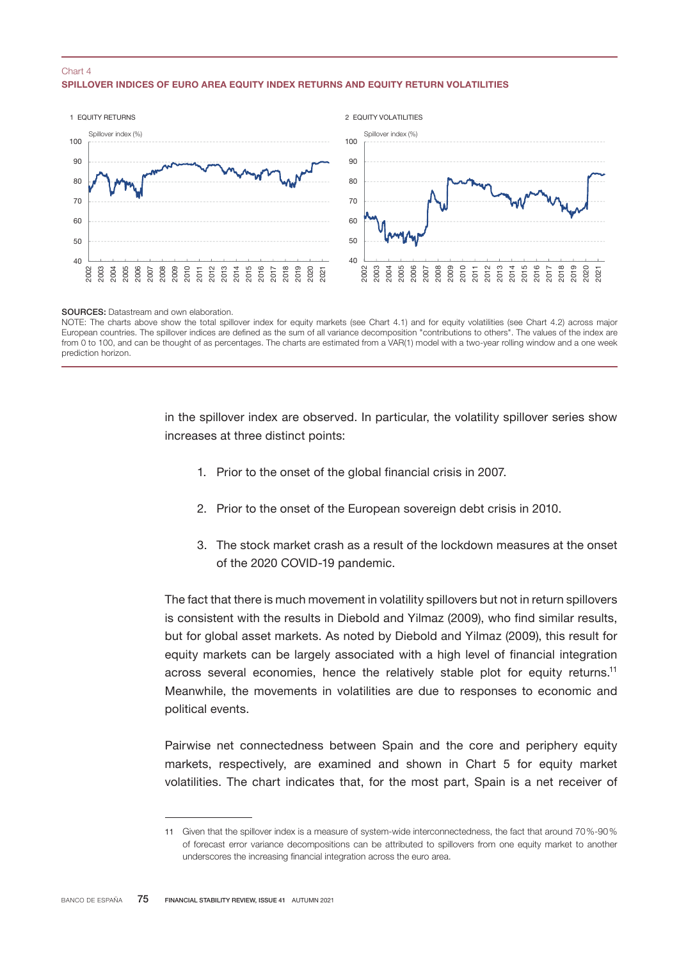### SPILLOVER INDICES OF EURO AREA EQUITY INDEX RETURNS AND EQUITY RETURN VOLATILITIES Chart 4



SOURCES: Datastream and own elaboration.

NOTE: The charts above show the total spillover index for equity markets (see Chart 4.1) and for equity volatilities (see Chart 4.2) across major European countries. The spillover indices are defined as the sum of all variance decomposition "contributions to others". The values of the index are from 0 to 100, and can be thought of as percentages. The charts are estimated from a VAR(1) model with a two-year rolling window and a one week prediction horizon.

> in the spillover index are observed. In particular, the volatility spillover series show increases at three distinct points:

- 1. Prior to the onset of the global financial crisis in 2007.
- 2. Prior to the onset of the European sovereign debt crisis in 2010.
- 3. The stock market crash as a result of the lockdown measures at the onset of the 2020 COVID-19 pandemic.

The fact that there is much movement in volatility spillovers but not in return spillovers is consistent with the results in Diebold and Yilmaz (2009), who find similar results, but for global asset markets. As noted by Diebold and Yilmaz (2009), this result for equity markets can be largely associated with a high level of financial integration across several economies, hence the relatively stable plot for equity returns.<sup>11</sup> Meanwhile, the movements in volatilities are due to responses to economic and political events.

Pairwise net connectedness between Spain and the core and periphery equity markets, respectively, are examined and shown in Chart 5 for equity market volatilities. The chart indicates that, for the most part, Spain is a net receiver of

 Given that the spillover index is a measure of system-wide interconnectedness, the fact that around 70%-90% of forecast error variance decompositions can be attributed to spillovers from one equity market to another underscores the increasing financial integration across the euro area.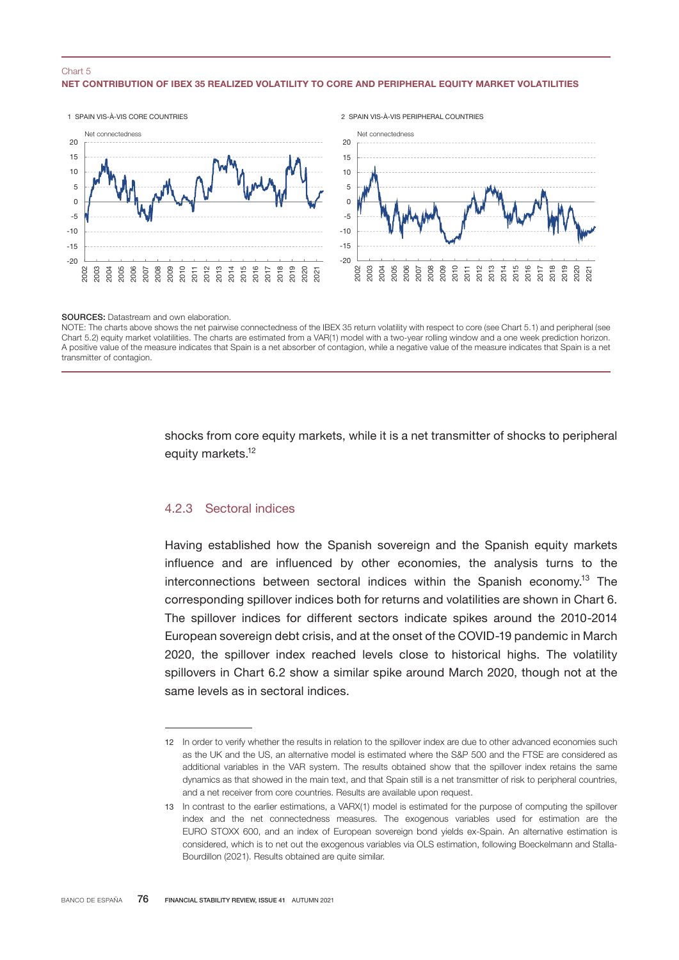### NET CONTRIBUTION OF IBEX 35 REALIZED VOLATILITY TO CORE AND PERIPHERAL EQUITY MARKET VOLATILITIES Chart 5



SOURCES: Datastream and own elaboration.

NOTE: The charts above shows the net pairwise connectedness of the IBEX 35 return volatility with respect to core (see Chart 5.1) and peripheral (see Chart 5.2) equity market volatilities. The charts are estimated from a VAR(1) model with a two-year rolling window and a one week prediction horizon. A positive value of the measure indicates that Spain is a net absorber of contagion, while a negative value of the measure indicates that Spain is a net transmitter of contagion.

> shocks from core equity markets, while it is a net transmitter of shocks to peripheral equity markets.<sup>12</sup>

# 4.2.3 Sectoral indices

Having established how the Spanish sovereign and the Spanish equity markets influence and are influenced by other economies, the analysis turns to the interconnections between sectoral indices within the Spanish economy.<sup>13</sup> The corresponding spillover indices both for returns and volatilities are shown in Chart 6. The spillover indices for different sectors indicate spikes around the 2010-2014 European sovereign debt crisis, and at the onset of the COVID-19 pandemic in March 2020, the spillover index reached levels close to historical highs. The volatility spillovers in Chart 6.2 show a similar spike around March 2020, though not at the same levels as in sectoral indices.

<sup>12</sup> In order to verify whether the results in relation to the spillover index are due to other advanced economies such as the UK and the US, an alternative model is estimated where the S&P 500 and the FTSE are considered as additional variables in the VAR system. The results obtained show that the spillover index retains the same dynamics as that showed in the main text, and that Spain still is a net transmitter of risk to peripheral countries, and a net receiver from core countries. Results are available upon request.

<sup>13</sup> In contrast to the earlier estimations, a VARX(1) model is estimated for the purpose of computing the spillover index and the net connectedness measures. The exogenous variables used for estimation are the EURO STOXX 600, and an index of European sovereign bond yields ex-Spain. An alternative estimation is considered, which is to net out the exogenous variables via OLS estimation, following Boeckelmann and Stalla-Bourdillon (2021). Results obtained are quite similar.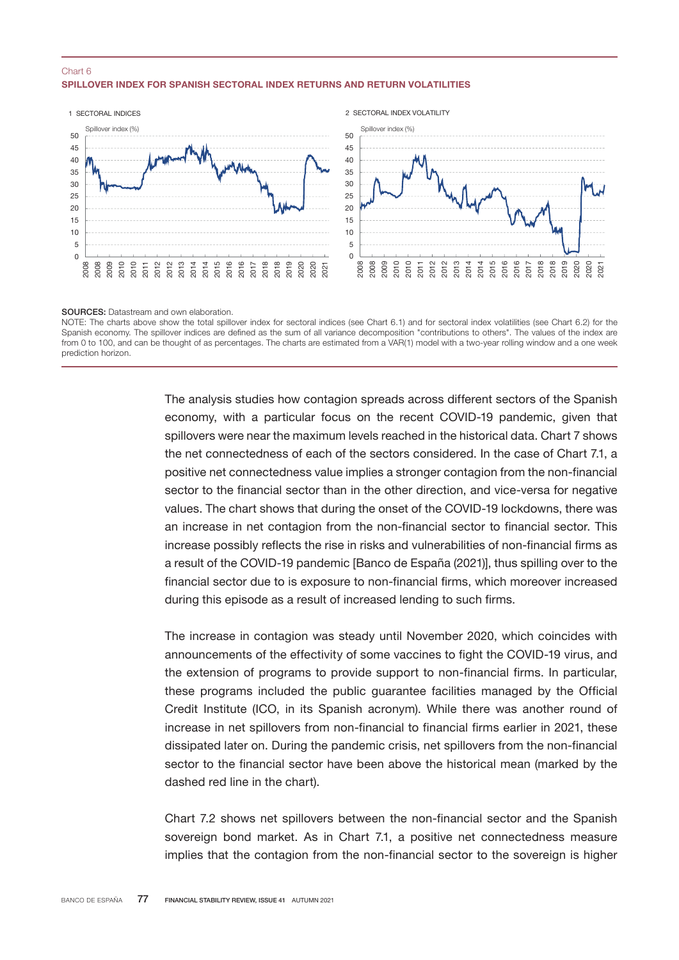### SPILLOVER INDEX FOR SPANISH SECTORAL INDEX RETURNS AND RETURN VOLATILITIES Chart 6



SOURCES: Datastream and own elaboration.

NOTE: The charts above show the total spillover index for sectoral indices (see Chart 6.1) and for sectoral index volatilities (see Chart 6.2) for the Spanish economy. The spillover indices are defined as the sum of all variance decomposition "contributions to others". The values of the index are from 0 to 100, and can be thought of as percentages. The charts are estimated from a VAR(1) model with a two-year rolling window and a one week prediction horizon.

> The analysis studies how contagion spreads across different sectors of the Spanish economy, with a particular focus on the recent COVID-19 pandemic, given that spillovers were near the maximum levels reached in the historical data. Chart 7 shows the net connectedness of each of the sectors considered. In the case of Chart 7.1, a positive net connectedness value implies a stronger contagion from the non-financial sector to the financial sector than in the other direction, and vice-versa for negative values. The chart shows that during the onset of the COVID-19 lockdowns, there was an increase in net contagion from the non-financial sector to financial sector. This increase possibly reflects the rise in risks and vulnerabilities of non-financial firms as a result of the COVID-19 pandemic [Banco de España (2021)], thus spilling over to the financial sector due to is exposure to non-financial firms, which moreover increased during this episode as a result of increased lending to such firms.

> The increase in contagion was steady until November 2020, which coincides with announcements of the effectivity of some vaccines to fight the COVID-19 virus, and the extension of programs to provide support to non-financial firms. In particular, these programs included the public guarantee facilities managed by the Official Credit Institute (ICO, in its Spanish acronym). While there was another round of increase in net spillovers from non-financial to financial firms earlier in 2021, these dissipated later on. During the pandemic crisis, net spillovers from the non-financial sector to the financial sector have been above the historical mean (marked by the dashed red line in the chart).

> Chart 7.2 shows net spillovers between the non-financial sector and the Spanish sovereign bond market. As in Chart 7.1, a positive net connectedness measure implies that the contagion from the non-financial sector to the sovereign is higher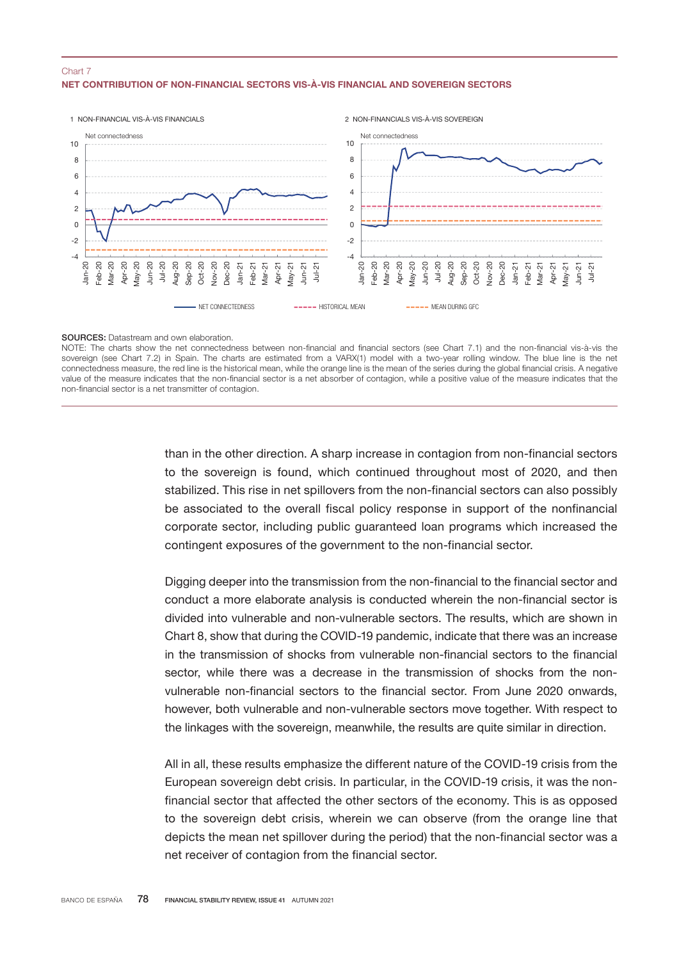## NET CONTRIBUTION OF NON-FINANCIAL SECTORS VIS-À-VIS FINANCIAL AND SOVEREIGN SECTORS Chart 7



#### SOURCES: Datastream and own elaboration.

NOTE: The charts show the net connectedness between non-financial and financial sectors (see Chart 7.1) and the non-financial vis-à-vis the sovereign (see Chart 7.2) in Spain. The charts are estimated from a VARX(1) model with a two-year rolling window. The blue line is the net connectedness measure, the red line is the historical mean, while the orange line is the mean of the series during the global financial crisis. A negative value of the measure indicates that the non-financial sector is a net absorber of contagion, while a positive value of the measure indicates that the non-financial sector is a net transmitter of contagion.

> than in the other direction. A sharp increase in contagion from non-financial sectors to the sovereign is found, which continued throughout most of 2020, and then stabilized. This rise in net spillovers from the non-financial sectors can also possibly be associated to the overall fiscal policy response in support of the nonfinancial corporate sector, including public guaranteed loan programs which increased the contingent exposures of the government to the non-financial sector.

> Digging deeper into the transmission from the non-financial to the financial sector and conduct a more elaborate analysis is conducted wherein the non-financial sector is divided into vulnerable and non-vulnerable sectors. The results, which are shown in Chart 8, show that during the COVID-19 pandemic, indicate that there was an increase in the transmission of shocks from vulnerable non-financial sectors to the financial sector, while there was a decrease in the transmission of shocks from the nonvulnerable non-financial sectors to the financial sector. From June 2020 onwards, however, both vulnerable and non-vulnerable sectors move together. With respect to the linkages with the sovereign, meanwhile, the results are quite similar in direction.

> All in all, these results emphasize the different nature of the COVID-19 crisis from the European sovereign debt crisis. In particular, in the COVID-19 crisis, it was the nonfinancial sector that affected the other sectors of the economy. This is as opposed to the sovereign debt crisis, wherein we can observe (from the orange line that depicts the mean net spillover during the period) that the non-financial sector was a net receiver of contagion from the financial sector.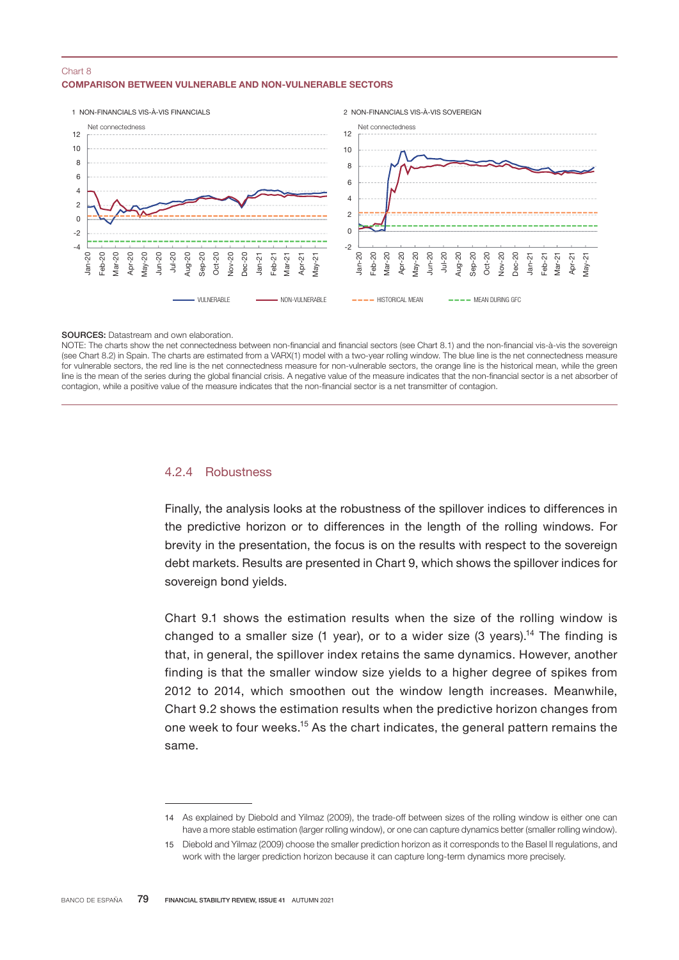### COMPARISON BETWEEN VULNERABLE AND NON-VULNERABLE SECTORS Chart 8



#### SOURCES: Datastream and own elaboration.

NOTE: The charts show the net connectedness between non-financial and financial sectors (see Chart 8.1) and the non-financial vis-à-vis the sovereign (see Chart 8.2) in Spain. The charts are estimated from a VARX(1) model with a two-year rolling window. The blue line is the net connectedness measure for vulnerable sectors, the red line is the net connectedness measure for non-vulnerable sectors, the orange line is the historical mean, while the green line is the mean of the series during the global financial crisis. A negative value of the measure indicates that the non-financial sector is a net absorber of contagion, while a positive value of the measure indicates that the non-financial sector is a net transmitter of contagion.

## 4.2.4 Robustness

Finally, the analysis looks at the robustness of the spillover indices to differences in the predictive horizon or to differences in the length of the rolling windows. For brevity in the presentation, the focus is on the results with respect to the sovereign debt markets. Results are presented in Chart 9, which shows the spillover indices for sovereign bond vields.

Chart 9.1 shows the estimation results when the size of the rolling window is changed to a smaller size (1 year), or to a wider size (3 years).<sup>14</sup> The finding is that, in general, the spillover index retains the same dynamics. However, another finding is that the smaller window size yields to a higher degree of spikes from 2012 to 2014, which smoothen out the window length increases. Meanwhile, Chart 9.2 shows the estimation results when the predictive horizon changes from one week to four weeks.<sup>15</sup> As the chart indicates, the general pattern remains the same.

<sup>14</sup> As explained by Diebold and Yilmaz (2009), the trade-off between sizes of the rolling window is either one can have a more stable estimation (larger rolling window), or one can capture dynamics better (smaller rolling window).

<sup>15</sup> Diebold and Yilmaz (2009) choose the smaller prediction horizon as it corresponds to the Basel II regulations, and work with the larger prediction horizon because it can capture long-term dynamics more precisely.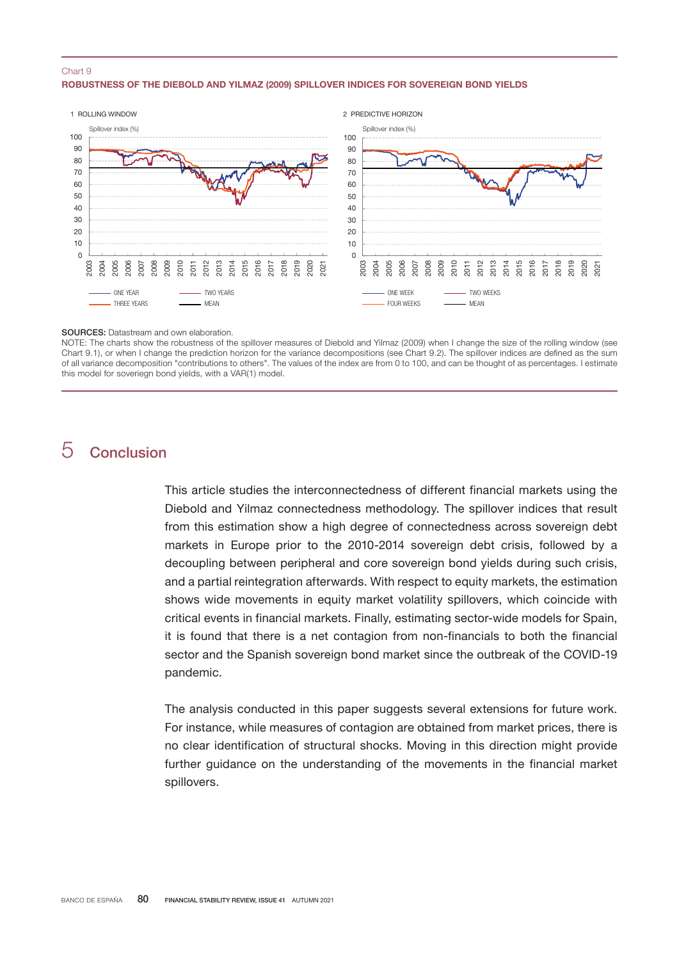#### ROBUSTNESS OF THE DIEBOLD AND YILMAZ (2009) SPILLOVER INDICES FOR SOVEREIGN BOND YIELDS Chart 9



#### SOURCES: Datastream and own elaboration.

NOTE: The charts show the robustness of the spillover measures of Diebold and Yilmaz (2009) when I change the size of the rolling window (see Chart 9.1), or when I change the prediction horizon for the variance decompositions (see Chart 9.2). The spillover indices are defined as the sum of all variance decomposition "contributions to others". The values of the index are from 0 to 100, and can be thought of as percentages. I estimate this model for soveriegn bond yields, with a VAR(1) model.

# Conclusion

This article studies the interconnectedness of different financial markets using the Diebold and Yilmaz connectedness methodology. The spillover indices that result from this estimation show a high degree of connectedness across sovereign debt markets in Europe prior to the 2010-2014 sovereign debt crisis, followed by a decoupling between peripheral and core sovereign bond yields during such crisis, and a partial reintegration afterwards. With respect to equity markets, the estimation shows wide movements in equity market volatility spillovers, which coincide with critical events in financial markets. Finally, estimating sector-wide models for Spain, it is found that there is a net contagion from non-financials to both the financial sector and the Spanish sovereign bond market since the outbreak of the COVID-19 pandemic.

The analysis conducted in this paper suggests several extensions for future work. For instance, while measures of contagion are obtained from market prices, there is no clear identification of structural shocks. Moving in this direction might provide further guidance on the understanding of the movements in the financial market spillovers.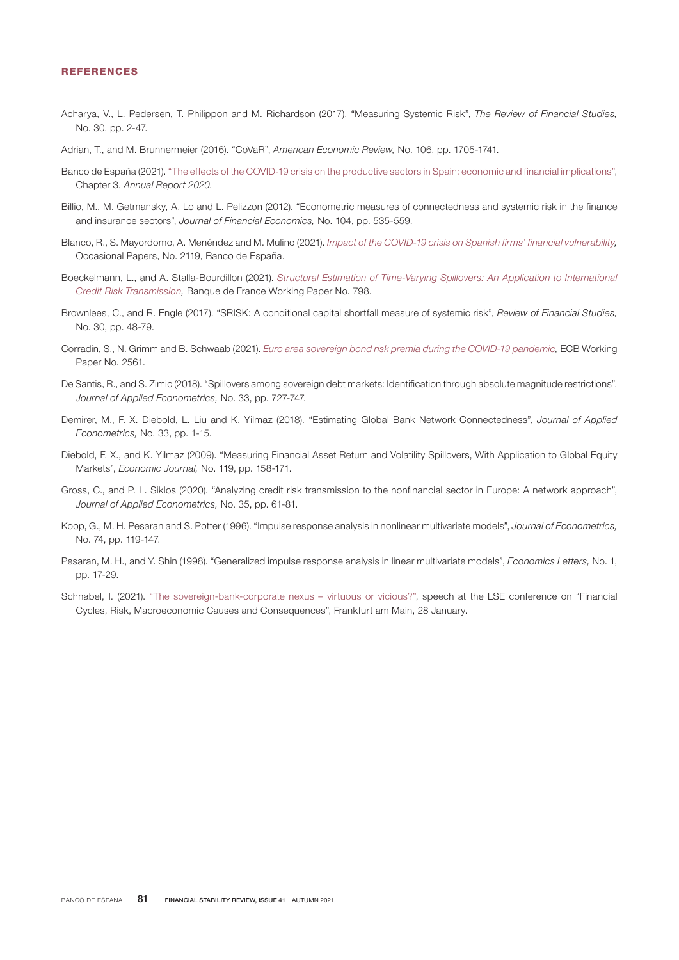#### REFERENCES

- Acharya, V., L. Pedersen, T. Philippon and M. Richardson (2017). "Measuring Systemic Risk", *The Review of Financial Studies,* No. 30, pp. 2-47.
- Adrian, T., and M. Brunnermeier (2016). "CoVaR", *American Economic Review,* No. 106, pp. 1705-1741.
- Banco de España (2021). "[The effects of the COVID-19 crisis on the productive sectors in Spain: economic and financial implications](https://www.bde.es/f/webbde/SES/Secciones/Publicaciones/PublicacionesAnuales/InformesAnuales/20/Files/InfAnual_2020-Cap3-En.pdf)", Chapter 3, *Annual Report 2020.*
- Billio, M., M. Getmansky, A. Lo and L. Pelizzon (2012). "Econometric measures of connectedness and systemic risk in the finance and insurance sectors", *Journal of Financial Economics,* No. 104, pp. 535-559.
- Blanco, R., S. Mayordomo, A. Menéndez and M. Mulino (2021). *[Impact of the COVID-19 crisis on Spanish firms' financial vulnerability](https://www.bde.es/f/webbde/SES/Secciones/Publicaciones/PublicacionesSeriadas/DocumentosOcasionales/21/Files/do2119e.pdf),*  Occasional Papers, No. 2119, Banco de España.
- Boeckelmann, L., and A. Stalla-Bourdillon (2021). *[Structural Estimation of Time-Varying Spillovers: An Application to International](https://publications.banque-france.fr/en/structural-estimation-time-varying-spillovers-application-international-credit-risk-transmission) [Credit Risk Transmission](https://publications.banque-france.fr/en/structural-estimation-time-varying-spillovers-application-international-credit-risk-transmission),* Banque de France Working Paper No. 798.
- Brownlees, C., and R. Engle (2017). "SRISK: A conditional capital shortfall measure of systemic risk", *Review of Financial Studies,*  No. 30, pp. 48-79.
- Corradin, S., N. Grimm and B. Schwaab (2021). *[Euro area sovereign bond risk premia during the COVID-19 pandemic](https://www.ecb.europa.eu/pub/pdf/scpwps/ecb.wp2561~dfa7ba4756.en.pdf),* ECB Working Paper No. 2561.
- De Santis, R., and S. Zimic (2018). "Spillovers among sovereign debt markets: Identification through absolute magnitude restrictions", *Journal of Applied Econometrics,* No. 33, pp. 727-747.
- Demirer, M., F. X. Diebold, L. Liu and K. Yilmaz (2018). "Estimating Global Bank Network Connectedness", *Journal of Applied Econometrics,* No. 33, pp. 1-15.
- Diebold, F. X., and K. Yilmaz (2009). "Measuring Financial Asset Return and Volatility Spillovers, With Application to Global Equity Markets", *Economic Journal,* No. 119, pp. 158-171.
- Gross, C., and P. L. Siklos (2020). "Analyzing credit risk transmission to the nonfinancial sector in Europe: A network approach", *Journal of Applied Econometrics,* No. 35, pp. 61-81.
- Koop, G., M. H. Pesaran and S. Potter (1996). "Impulse response analysis in nonlinear multivariate models", *Journal of Econometrics,*  No. 74, pp. 119-147.
- Pesaran, M. H., and Y. Shin (1998). "Generalized impulse response analysis in linear multivariate models", *Economics Letters,* No. 1, pp. 17-29.
- Schnabel, I. (2021). "[The sovereign-bank-corporate nexus virtuous or vicious](https://www.ecb.europa.eu/press/key/date/2021/html/ecb.sp210128~8f5dc86601.en.html)?", speech at the LSE conference on "Financial Cycles, Risk, Macroeconomic Causes and Consequences", Frankfurt am Main, 28 January.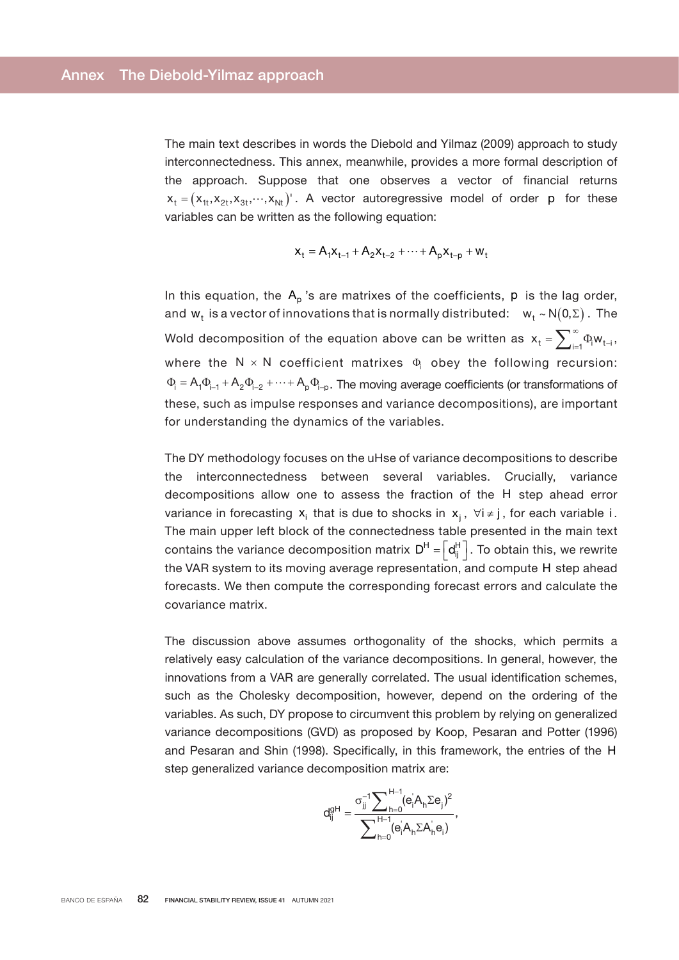The main text describes in words the Diebold and Yilmaz (2009) approach to study interconnectedness. This annex, meanwhile, provides a more formal description of the approach. Suppose that one observes a vector of financial returns  $X_t = (X_{t}, X_{2t}, X_{3t}, \dots, X_{Nt})$ . A vector autoregressive model of order p for these variables can be written as the following equation:

$$
x_{t} = A_{1}x_{t-1} + A_{2}x_{t-2} + \dots + A_{p}x_{t-p} + w_{t}
$$

In this equation, the  $A_p$ 's are matrixes of the coefficients, p is the lag order, and  $w_t$  is a vector of innovations that is normally distributed:  $w_t \sim N(0, \Sigma)$ . The Wold decomposition of the equation above can be written as  $\bm{{\mathsf{x}}}_\mathsf{t} = \sum_{\mathsf{i} = 1}^\infty \Phi_\mathsf{i} \bm{{\mathsf{w}}}_\mathsf{t-\mathsf{i}}$  , where the  $N \times N$  coefficient matrixes  $\Phi_i$  obey the following recursion:  $\Phi_i = A_1 \Phi_{i-1} + A_2 \Phi_{i-2} + \cdots + A_p \Phi_{i-p}$ . The moving average coefficients (or transformations of these, such as impulse responses and variance decompositions), are important for understanding the dynamics of the variables.

The DY methodology focuses on the uHse of variance decompositions to describe the interconnectedness between several variables. Crucially, variance decompositions allow one to assess the fraction of the H step ahead error variance in forecasting  $x_i$  that is due to shocks in  $x_i$ ,  $\forall i \neq j$ , for each variable i. The main upper left block of the connectedness table presented in the main text contains the variance decomposition matrix  $D^H = \left[d_{ii}^H\right]$ . To obtain this, we rewrite the VAR system to its moving average representation, and compute H step ahead forecasts. We then compute the corresponding forecast errors and calculate the covariance matrix.

The discussion above assumes orthogonality of the shocks, which permits a relatively easy calculation of the variance decompositions. In general, however, the innovations from a VAR are generally correlated. The usual identification schemes, such as the Cholesky decomposition, however, depend on the ordering of the variables. As such, DY propose to circumvent this problem by relying on generalized variance decompositions (GVD) as proposed by Koop, Pesaran and Potter (1996) and Pesaran and Shin (1998). Specifically, in this framework, the entries of the H step generalized variance decomposition matrix are:

$$
d_{ij}^{gH}=\frac{\sigma_{jj}^{-1}\displaystyle{\sum\nolimits_{h=0}^{H-1}(e_iA_h\Sigma e_j)^2}}{\displaystyle{\sum\nolimits_{h=0}^{H-1}(e_iA_h\Sigma A_h e_i)}},
$$